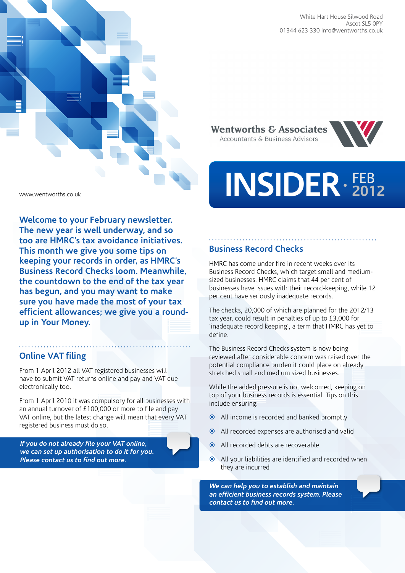



**Welcome to your February newsletter. The new year is well underway, and so too are HMRC's tax avoidance initiatives. This month we give you some tips on keeping your records in order, as HMRC's Business Record Checks loom. Meanwhile, the countdown to the end of the tax year has begun, and you may want to make sure you have made the most of your tax efficient allowances; we give you a roundup in Your Money.** 

### **Online VAT filing**

From 1 April 2012 all VAT registered businesses will have to submit VAT returns online and pay and VAT due electronically too.

From 1 April 2010 it was compulsory for all businesses with an annual turnover of £100,000 or more to file and pay VAT online, but the latest change will mean that every VAT registered business must do so.

*If you do not already file your VAT online, we can set up authorisation to do it for you. Please contact us to find out more.* 

**Wentworths & Associates** Accountants & Business Advisors



# **INSIDER** FEB **2012**

# **Business Record Checks**

HMRC has come under fire in recent weeks over its Business Record Checks, which target small and mediumsized businesses. HMRC claims that 44 per cent of businesses have issues with their record-keeping, while 12 per cent have seriously inadequate records.

The checks, 20,000 of which are planned for the 2012/13 tax year, could result in penalties of up to £3,000 for 'inadequate record keeping', a term that HMRC has yet to define.

The Business Record Checks system is now being reviewed after considerable concern was raised over the potential compliance burden it could place on already stretched small and medium sized businesses.

While the added pressure is not welcomed, keeping on top of your business records is essential. Tips on this include ensuring:

- All income is recorded and banked promptly
- All recorded expenses are authorised and valid
- All recorded debts are recoverable
- All your liabilities are identified and recorded when they are incurred

*We can help you to establish and maintain an efficient business records system. Please contact us to find out more.*